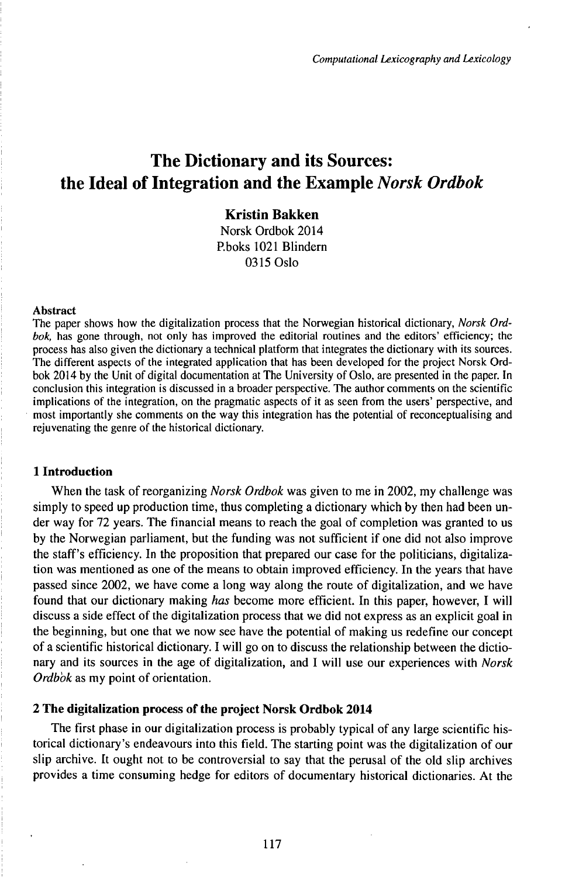# The Dictionary and its Sources: the Ideal of Integration and the Example *Norsk Ordbok*

## **Kristin Bakken**

Norsk Ordbok 2014 P.boks 1021 Blindern 0315Oslo

#### Abstract

The paper shows how the digitalization process that the Norwegian historical dictionary, *Norsk Ordbok,* has gone through, not only has improved the editorial routines and the editors' efficiency; the process has also given the dictionary a technical platform that integrates the dictionary with its sources. The different aspects of the integrated application that has been developed for the project Norsk Ordbok 2014 by the Unit of digital documentation at The University of Oslo, are presented in the paper. In conclusion this integration is discussed in a broader perspective. The author comments on the scientific implications of the integration, on the pragmatic aspects of it as seen from the users' perspective, and most importantly she comments on the way this integration has the potential of reconceptualising and rejuvenating the genre of the historical dictionary.

#### **1 Introduction**

When the task of reorganizing *Norsk Ordbok* was given to me in 2002, my challenge was simply to speed up production time, thus completing a dictionary which by then had been under way for 72 years. The financial means to reach the goal of completion was granted to us by the Norwegian parliament, but the funding was not sufficient if one did not also improve the staff's efficiency. In the proposition that prepared our case for the politicians, digitalization was mentioned as one of the means to obtain improved efficiency. In the years that have passed since 2002, we have come a long way along the route of digitalization, and we have found that our dictionary making *has* become more efficient. In this paper, however, I will discuss a side effect of the digitalization process that we did not express as an explicit goal in the beginning, but one that we now see have the potential of making us redefine our concept of a scientific historical dictionary. I will go on to discuss the relationship between the dictionary and its sources in the age of digitalization, and I will use our experiences with *Norsk Ordbok* as my point of orientation.

### **2 The digitalization process of the project Norsk Ordbok 2014**

The first phase in our digitalization process is probably typical of any large scientific historical dictionary's endeavours into this field. The starting point was the digitalization of our slip archive. It ought not to be controversial to say that the perusal of the old slip archives provides a time consuming hedge for editors of documentary historical dictionaries. At the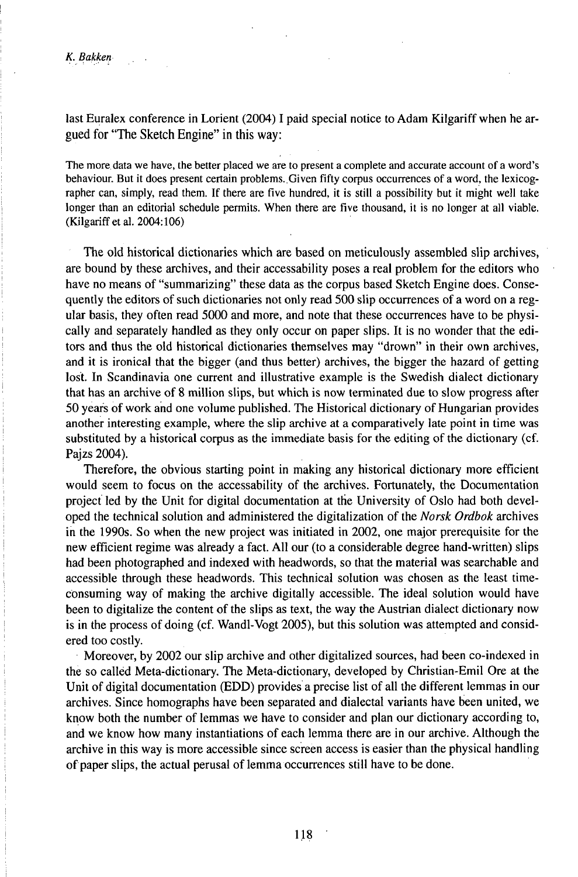last Euralex conference in Lorient (2004) I paid special notice to Adam Kilgariff when he argued for "The Sketch Engine" in this way:

The more data we have, the better placed we are to present a complete and accurate account of a word's behaviour. But it does present certain problems. Given fifty corpus occurrences of a word, the lexicographer can, simply, read them. If there are five hundred, it is still a possibility but it might well take longer than an editorial schedule permits. When there are five thousand, it is no longer at all viable. (Kilgariff et al. 2004:106)

The old historical dictionaries which are based on meticulously assembled slip archives, are bound by these archives, and their accessability poses a real problem for the editors who have no means of "summarizing" these data as the corpus based Sketch Engine does. Consequently the editors of such dictionaries not only read 500 slip occurrences of a word on a regular basis, they often read 5000 and more, and note that these occurrences have to be physically and separately handled as they only occur on paper slips. It is no wonder that the editors and thus the old historical dictionaries themselves may "drown" in their own archives, and it is ironical that the bigger (and thus better) archives, the bigger the hazard of getting lost. In Scandinavia one current and illustrative example is the Swedish dialect dictionary that has an archive of 8 million slips, but which is now terminated due to slow progress after 50 years of work and one volume published. The Historical dictionary of Hungarian provides another interesting example, where the slip archive at a comparatively late point in time was substituted by a historical corpus as the immediate basis for the editing of the dictionary (cf. Pajzs 2004).

Therefore, the obvious starting point in making any historical dictionary more efficient would seem to focus on the accessability of the archives. Fortunately, the Documentation project led by the Unit for digital documentation at the University of Oslo had both developed the technical solution and administered the digitalization of the *Norsk Ordbok* archives in the 1990s. So when the new project was initiated in 2002, one major prerequisite for the new efficient regime was already a fact. All our (to a considerable degree hand-written) slips had been photographed and indexed with headwords, so that the material was searchable and accessible through these headwords. This technical solution was chosen as the least timeconsuming way of making the archive digitally accessible. The ideal solution would have been to digitalize the content of the slips as text, the way the Austrian dialect dictionary now is in the process of doing (cf. Wandl-Vogt 2005), but this solution was attempted and considered too costly.

Moreover, by 2002 our slip archive and other digitalized sources, had been co-indexed in the so called Meta-dictionary. The Meta-dictionary, developed by Christian-Emil Ore at the Unit of digital documentation (EDD) provides a precise list of all the different lemmas in our archives. Since homographs have been separated and dialectal variants have been united, we know both the number of lemmas we have to consider and plan our dictionary according to, and we know how many instantiations of each lemma there are in our archive. Although the archive in this way is more accessible since screen access is easier than the physical handling of paper slips, the actual perusal of lemma occurrences still have to be done.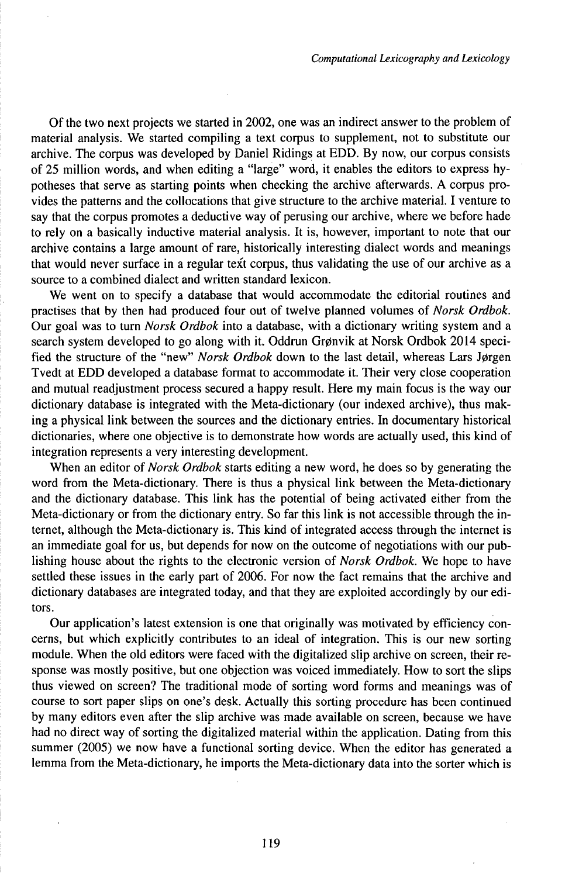Of the two next projects we started in 2002, one was an indirect answer to the problem of material analysis. We started compiling a text corpus to supplement, not to substitute our archive. The corpus was developed by Daniel Ridings at EDD. By now, our corpus consists of 25 million words, and when editing a "large" word, it enables the editors to express hypotheses that serve as starting points when checking the archive afterwards. A corpus provides the patterns and the collocations that give structure to the archive material. I venture to say that the corpus promotes a deductive way of perusing our archive, where we before hade to rely on a basically inductive material analysis. It is, however, important to note that our archive contains a large amount of rare, historically interesting dialect words and meanings that would never surface in a regular text corpus, thus validating the use of our archive as a source to a combined dialect and written standard lexicon.

We went on to specify a database that would accommodate the editorial routines and practises that by then had produced four out of twelve planned volumes of *Norsk Ordbok.* Our goal was to turn *Norsk Ordbok* into a database, with a dictionary writing system and a search system developed to go along with it. Oddrun Grønvik at Norsk Ordbok 2014 specified the structure of the "new" *Norsk Ordbok* down to the last detail, whereas Lars Jørgen Tvedt at EDD developed a database format to accommodate it. Their very close cooperation and mutual readjustment process secured a happy result. Here my main focus is the way our dictionary database is integrated with the Meta-dictionary (our indexed archive), thus making a physical link between the sources and the dictionary entries. In documentary historical dictionaries, where one objective is to demonstrate how words are actually used, this kind of integration represents a very interesting development.

When an editor of *Norsk Ordbok* starts editing a new word, he does so by generating the word from the Meta-dictionary. There is thus a physical link between the Meta-dictionary and the dictionary database. This link has the potential of being activated either from the Meta-dictionary or from the dictionary entry. So far this link is not accessible through the internet, although the Meta-dictionary is. This kind of integrated access through the internet is an immediate goal for us, but depends for now on the outcome of negotiations with our publishing house about the rights to the electronic version of *Norsk Ordbok.* We hope to have settled these issues in the early part of 2006. For now the fact remains that the archive and dictionary databases are integrated today, and that they are exploited accordingly by our editors.

Our application's latest extension is one that originally was motivated by efficiency concerns, but which explicitly contributes to an ideal of integration. This is our new sorting module. When the old editors were faced with the digitalized slip archive on screen, their response was mostly positive, but one objection was voiced immediately. How to sort the slips thus viewed on screen? The traditional mode of sorting word forms and meanings was of course to sort paper slips on one's desk. Actually this sorting procedure has been continued by many editors even after the slip archive was made available on screen, because we have had no direct way of sorting the digitalized material within the application. Dating from this summer (2005) we now have a functional sorting device. When the editor has generated a lemma from the Meta-dictionary, he imports the Meta-dictionary data into the sorter which is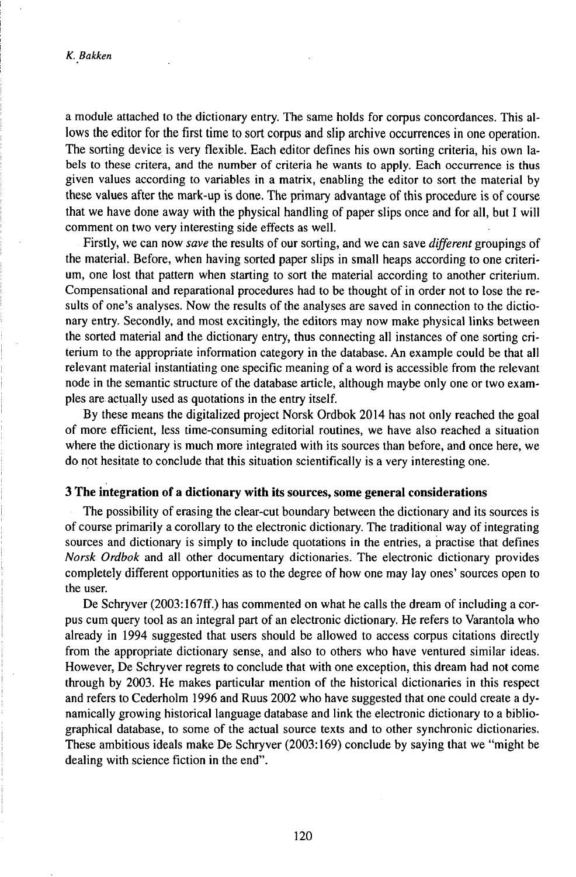a module attached to the dictionary entry. The same holds for corpus concordances. This allows the editor for the first time to sort corpus and slip archive occurrences in one operation. The sorting device is very flexible. Each editor defines his own sorting criteria, his own labels to these critera, and the number of criteria he wants to apply. Each occurrence is thus given values according to variables in a matrix, enabling the editor to sort the material by these values after the mark-up is done. The primary advantage of this procedure is of course that we have done away with the physical handling of paper slips once and for all, but I will comment on two very interesting side effects as well.

Firstly, we can now *save* the results of our sorting, and we can save *different* groupings of the material. Before, when having sorted paper slips in small heaps according to one criterium, one lost that pattern when starting to sort the material according to another criterium. Compensational and reparational procedures had to be thought of in order not to lose the results of one's analyses. Now the results of the analyses are saved in connection to the dictionary entry. Secondly, and most excitingly, the editors may now make physical links between the sorted material and the dictionary entry, thus connecting all instances of one sorting criterium to the appropriate information category in the database. An example could be that all relevant material instantiating one specific meaning of a word is accessible from the relevant node in the semantic structure of the database article, although maybe only one or two examples are actually used as quotations in the entry itself.

By these means the digitalized project Norsk Ordbok 2014 has not only reached the goal of more efficient, less time-consuming editorial routines, we have also reached a situation where the dictionary is much more integrated with its sources than before, and once here, we do not hesitate to conclude that this situation scientifically is a very interesting one.

#### **3 The integration of a dictionary with its sources, some general considerations**

The possibility of erasing the clear-cut boundary between the dictionary and its sources is of course primarily a corollary to the electronic dictionary. The traditional way of integrating sources and dictionary is simply to include quotations in the entries, a practise that defines *Norsk Ordbok* and all other documentary dictionaries. The electronic dictionary provides completely different opportunities as to the degree of how one may lay ones' sources open to the user.

De Schryver (2003:167ff.) has commented on what he calls the dream of including a corpus cum query tool as an integral part of an electronic dictionary. He refers to Varantola who already in 1994 suggested that users should be allowed to access corpus citations directly from the appropriate dictionary sense, and also to others who have ventured similar ideas. However, De Schryver regrets to conclude that with one exception, this dream had not come through by 2003. He makes particular mention of the historical dictionaries in this respect and refers to Cederholm 1996 and Ruus 2002 who have suggested that one could create a dynamically growing historical language database and link the electronic dictionary to a bibliographical database, to some of the actual source texts and to other synchronic dictionaries. These ambitious ideals make De Schryver (2003:169) conclude by saying that we "might be dealing with science fiction in the end".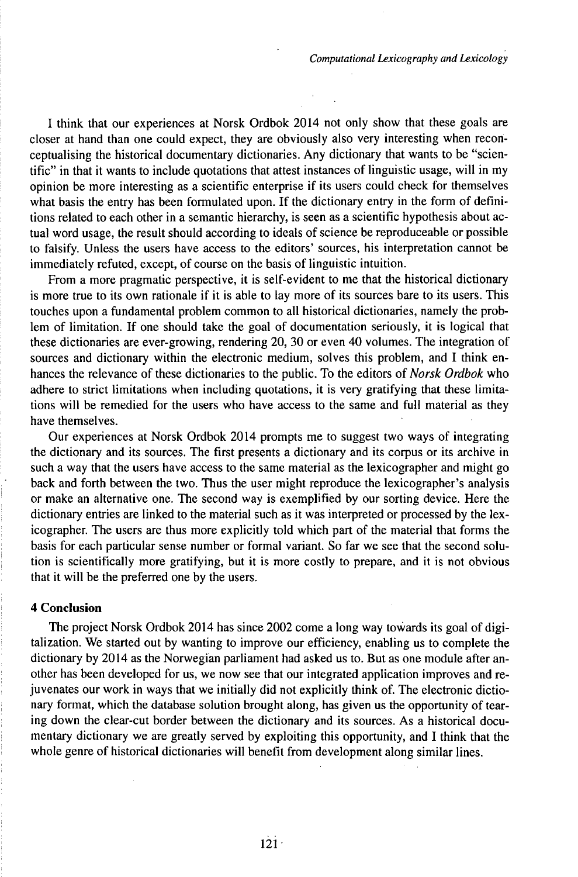I think that our experiences at Norsk Ordbok 2014 not only show that these goals are closer at hand than one could expect, they are obviously also very interesting when reconceptualising the historical documentary dictionaries. Any dictionary that wants to be "scientific" in that it wants to include quotations that attest instances of linguistic usage, will in my opinion be more interesting as a scientific enterprise if its users could check for themselves what basis the entry has been formulated upon. If the dictionary entry in the form of definitions related to each other in a semantic hierarchy, is seen as a scientific hypothesis about actual word usage, the result should according to ideals of science be reproduceable or possible to falsify. Unless the users have access to the editors' sources, his interpretation cannot be immediately refuted, except, of course on the basis of linguistic intuition.

From a more pragmatic perspective, it is self-evident to me that the historical dictionary is more true to its own rationale if it is able to lay more of its sources bare to its users. This touches upon a fundamental problem common to all historical dictionaries, namely the problem of limitation. If one should take the goal of documentation seriously, it is logical that these dictionaries are ever-growing, rendering 20, 30 or even 40 volumes. The integration of sources and dictionary within the electronic medium, solves this problem, and I think enhances the relevance of these dictionaries to the public. To the editors of *Norsk Ordbok* who adhere to strict limitations when including quotations, it is very gratifying that these limitations will be remedied for the users who have access to the same and full material as they have themselves.

Our experiences at Norsk Ordbok 2014 prompts me to suggest two ways of integrating the dictionary and its sources. The first presents a dictionary and its corpus or its archive in such a way that the users have access to the same material as the lexicographer and might go back and forth between the two. Thus the user might reproduce the lexicographer's analysis or make an alternative one. The second way is exemplified by our sorting device. Here the dictionary entries are linked to the material such as it was interpreted or processed by the lexicographer. The users are thus more explicitly told which part of the material that forms the basis for each particular sense number or formal variant. So far we see that the second solution is scientifically more gratifying, but it is more costly to prepare, and it is not obvious that it will be the preferred one by the users.

#### **4 Conclusion**

The project Norsk Ordbok 2014 has since 2002 come a long way towards its goal of digitalization. We started out by wanting to improve our efficiency, enabling us to complete the dictionary by 2014 as the Norwegian parliament had asked us to. But as one module after another has been developed for us, we now see that our integrated application improves and rejuvenates our work in ways that we initially did not explicitly think of. The electronic dictionary format, which the database solution brought along, has given us the opportunity of tearing down the clear-cut border between the dictionary and its sources. As a historical documentary dictionary we are greatly served by exploiting this opportunity, and I think that the whole genre of historical dictionaries will benefit from development along similar lines.